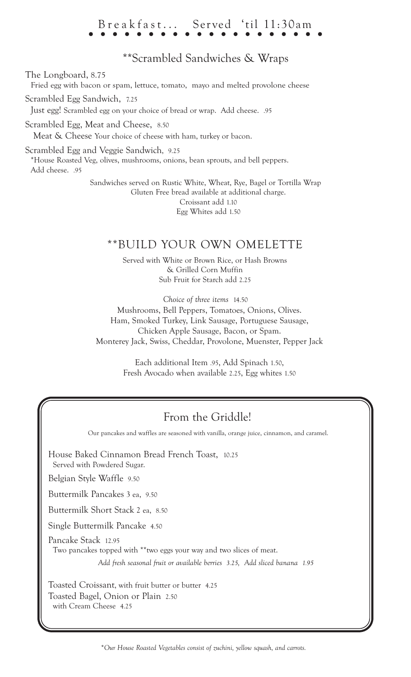# Breakfast... Served 'til 11:30am

### \*\*Scrambled Sandwiches & Wraps

The Longboard, 8.75

Fried egg with bacon or spam, lettuce, tomato, mayo and melted provolone cheese

Scrambled Egg Sandwich, 7.25

Just egg! Scrambled egg on your choice of bread or wrap. Add cheese. .95

Scrambled Egg, Meat and Cheese, 8.50 Meat & Cheese Your choice of cheese with ham, turkey or bacon.

Scrambled Egg and Veggie Sandwich, 9.25 \*House Roasted Veg, olives, mushrooms, onions, bean sprouts, and bell peppers. Add cheese. .95

> Sandwiches served on Rustic White, Wheat, Rye, Bagel or Tortilla Wrap Gluten Free bread available at additional charge. Croissant add 1.10 Egg Whites add 1.50

### \*\*BUILD YOUR OWN OMELETTE

Served with White or Brown Rice, or Hash Browns & Grilled Corn Muffin Sub Fruit for Starch add 2.25

*Choice of three items* 14.50 Mushrooms, Bell Peppers, Tomatoes, Onions, Olives. Ham, Smoked Turkey, Link Sausage, Portuguese Sausage, Chicken Apple Sausage, Bacon, or Spam. Monterey Jack, Swiss, Cheddar, Provolone, Muenster, Pepper Jack

> Each additional Item .95, Add Spinach 1.50, Fresh Avocado when available 2.25, Egg whites 1.50

## From the Griddle!

Our pancakes and waffles are seasoned with vanilla, orange juice, cinnamon, and caramel.

House Baked Cinnamon Bread French Toast, 10.25 Served with Powdered Sugar. Belgian Style Waffle 9.50 Buttermilk Pancakes 3 ea, 9.50 Buttermilk Short Stack 2 ea, 8.50

Single Buttermilk Pancake 4.50

Pancake Stack 12.95

Two pancakes topped with \*\*two eggs your way and two slices of meat.

*Add fresh seasonal fruit or available berries 3.25, Add sliced banana 1.95*

Toasted Croissant, with fruit butter or butter 4.25 Toasted Bagel, Onion or Plain 2.50 with Cream Cheese 4.25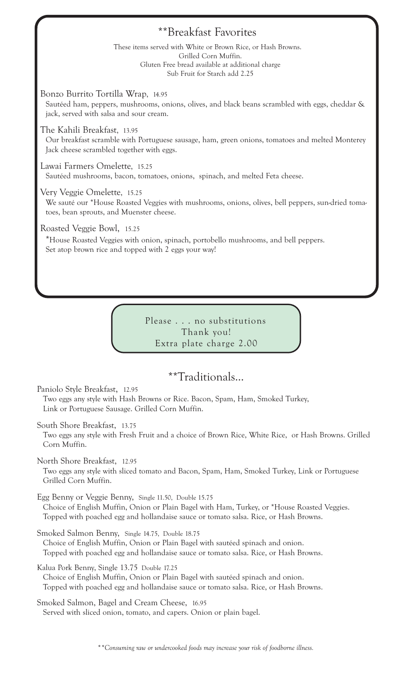### \*\*Breakfast Favorites

These items served with White or Brown Rice, or Hash Browns. Grilled Corn Muffin. Gluten Free bread available at additional charge Sub Fruit for Starch add 2.25

Bonzo Burrito Tortilla Wrap, 14.95

Sautéed ham, peppers, mushrooms, onions, olives, and black beans scrambled with eggs, cheddar & jack, served with salsa and sour cream.

The Kahili Breakfast, 13.95

Our breakfast scramble with Portuguese sausage, ham, green onions, tomatoes and melted Monterey Jack cheese scrambled together with eggs.

Lawai Farmers Omelette, 15.25 Sautéed mushrooms, bacon, tomatoes, onions, spinach, and melted Feta cheese.

Very Veggie Omelette, 15.25

We sauté our \*House Roasted Veggies with mushrooms, onions, olives, bell peppers, sun-dried tomatoes, bean sprouts, and Muenster cheese.

Roasted Veggie Bowl, 15.25

\*House Roasted Veggies with onion, spinach, portobello mushrooms, and bell peppers. Set atop brown rice and topped with 2 eggs your way!

> Please . . . no substitutions Thank you! Extra plate charge 2.00

### \*\*Traditionals...

Paniolo Style Breakfast, 12.95 Two eggs any style with Hash Browns or Rice. Bacon, Spam, Ham, Smoked Turkey,

Link or Portuguese Sausage. Grilled Corn Muffin.

South Shore Breakfast, 13.75

Two eggs any style with Fresh Fruit and a choice of Brown Rice, White Rice, or Hash Browns. Grilled Corn Muffin.

North Shore Breakfast, 12.95

Two eggs any style with sliced tomato and Bacon, Spam, Ham, Smoked Turkey, Link or Portuguese Grilled Corn Muffin.

Egg Benny or Veggie Benny, Single 11.50, Double 15.75

Choice of English Muffin, Onion or Plain Bagel with Ham, Turkey, or \*House Roasted Veggies. Topped with poached egg and hollandaise sauce or tomato salsa. Rice, or Hash Browns.

Smoked Salmon Benny, Single 14.75, Double 18.75

Choice of English Muffin, Onion or Plain Bagel with sautéed spinach and onion. Topped with poached egg and hollandaise sauce or tomato salsa. Rice, or Hash Browns.

Kalua Pork Benny, Single 13.75 Double 17.25 Choice of English Muffin, Onion or Plain Bagel with sautéed spinach and onion. Topped with poached egg and hollandaise sauce or tomato salsa. Rice, or Hash Browns.

Smoked Salmon, Bagel and Cream Cheese, 16.95 Served with sliced onion, tomato, and capers. Onion or plain bagel.